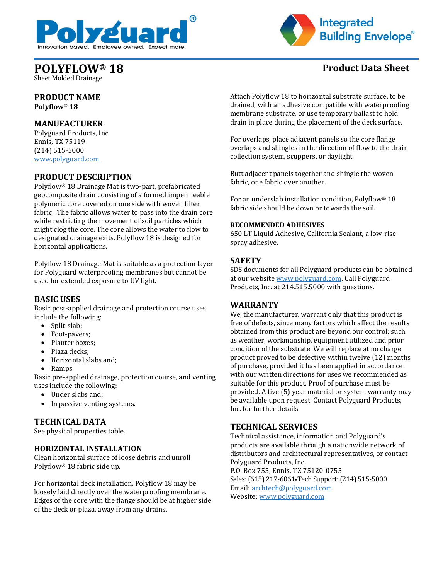



# **POLYFLOW® 18 Product Data Sheet**

Sheet Molded Drainage

**PRODUCT NAME Polyflow® 18**

# **MANUFACTURER**

Polyguard Products, Inc. Ennis, TX 75119 (214) 515-5000 [www.polyguard.com](http://www.polyguard.com/)

# **PRODUCT DESCRIPTION**

Polyflow® 18 Drainage Mat is two-part, prefabricated geocomposite drain consisting of a formed impermeable polymeric core covered on one side with woven filter fabric. The fabric allows water to pass into the drain core while restricting the movement of soil particles which might clog the core. The core allows the water to flow to designated drainage exits. Polyflow 18 is designed for horizontal applications.

Polyflow 18 Drainage Mat is suitable as a protection layer for Polyguard waterproofing membranes but cannot be used for extended exposure to UV light.

# **BASIC USES**

Basic post-applied drainage and protection course uses include the following:

- Split-slab;
- Foot-pavers;
- Planter boxes;
- Plaza decks;
- Horizontal slabs and;
- Ramps

Basic pre-applied drainage, protection course, and venting uses include the following:

- Under slabs and;
- In passive venting systems.

### **TECHNICAL DATA**

See physical properties table.

### **HORIZONTAL INSTALLATION**

Clean horizontal surface of loose debris and unroll Polyflow® 18 fabric side up.

For horizontal deck installation, Polyflow 18 may be loosely laid directly over the waterproofing membrane. Edges of the core with the flange should be at higher side of the deck or plaza, away from any drains.

Attach Polyflow 18 to horizontal substrate surface, to be drained, with an adhesive compatible with waterproofing membrane substrate, or use temporary ballast to hold drain in place during the placement of the deck surface.

For overlaps, place adjacent panels so the core flange overlaps and shingles in the direction of flow to the drain collection system, scuppers, or daylight.

Butt adjacent panels together and shingle the woven fabric, one fabric over another.

For an underslab installation condition, Polyflow® 18 fabric side should be down or towards the soil.

#### **RECOMMENDED ADHESIVES**

650 LT Liquid Adhesive, California Sealant, a low-rise spray adhesive.

## **SAFETY**

SDS documents for all Polyguard products can be obtained at our website [www.polyguard.com.](http://www.polyguard.com/) Call Polyguard Products, Inc. at 214.515.5000 with questions.

### **WARRANTY**

We, the manufacturer, warrant only that this product is free of defects, since many factors which affect the results obtained from this product are beyond our control; such as weather, workmanship, equipment utilized and prior condition of the substrate. We will replace at no charge product proved to be defective within twelve (12) months of purchase, provided it has been applied in accordance with our written directions for uses we recommended as suitable for this product. Proof of purchase must be provided. A five (5) year material or system warranty may be available upon request. Contact Polyguard Products, Inc. for further details.

# **TECHNICAL SERVICES**

Technical assistance, information and Polyguard's products are available through a nationwide network of distributors and architectural representatives, or contact Polyguard Products, Inc. P.O. Box 755, Ennis, TX 75120-0755 Sales: (615) 217-6061•Tech Support: (214) 515-5000 Email: [archtech@polyguard.com](mailto:archtech@polyguard.com) Website: [www.polyguard.com](http://www.polyguard.com/)